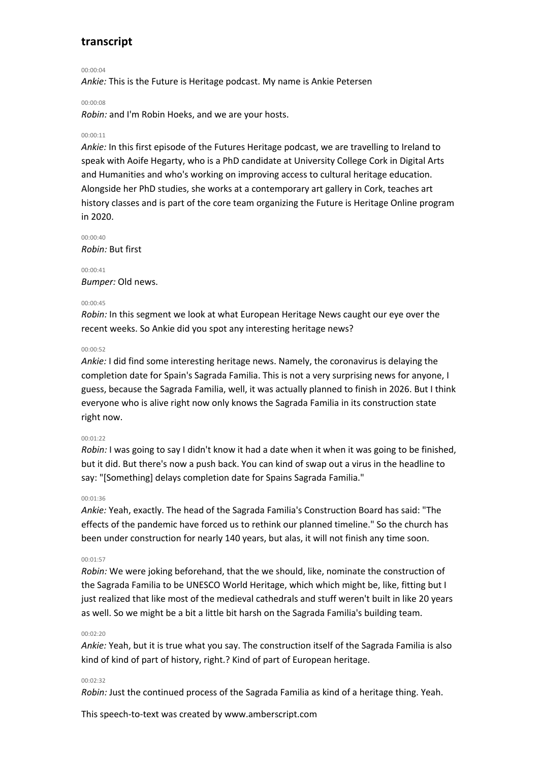00:00:04

*Ankie:* This is the Future is Heritage podcast. My name is Ankie Petersen

#### 00:00:08

*Robin:* and I'm Robin Hoeks, and we are your hosts.

# 00:00:11

*Ankie:* In this first episode of the Futures Heritage podcast, we are travelling to Ireland to speak with Aoife Hegarty, who is a PhD candidate at University College Cork in Digital Arts and Humanities and who's working on improving access to cultural heritage education. Alongside her PhD studies, she works at a contemporary art gallery in Cork, teaches art history classes and is part of the core team organizing the Future is Heritage Online program in 2020.

00:00:40 *Robin:* But first

00:00:41 *Bumper:* Old news.

# 00:00:45

*Robin:* In this segment we look at what European Heritage News caught our eye over the recent weeks. So Ankie did you spot any interesting heritage news?

### 00:00:52

*Ankie:* I did find some interesting heritage news. Namely, the coronavirus is delaying the completion date for Spain's Sagrada Familia. This is not a very surprising news for anyone, I guess, because the Sagrada Familia, well, it was actually planned to finish in 2026. But I think everyone who is alive right now only knows the Sagrada Familia in its construction state right now.

#### $00:01:22$

*Robin:* I was going to say I didn't know it had a date when it when it was going to be finished, but it did. But there's now a push back. You can kind of swap out a virus in the headline to say: "[Something] delays completion date for Spains Sagrada Familia."

#### 00:01:36

*Ankie:* Yeah, exactly. The head of the Sagrada Familia's Construction Board has said: "The effects of the pandemic have forced us to rethink our planned timeline." So the church has been under construction for nearly 140 years, but alas, it will not finish any time soon.

#### 00:01:57

*Robin:* We were joking beforehand, that the we should, like, nominate the construction of the Sagrada Familia to be UNESCO World Heritage, which which might be, like, fitting but I just realized that like most of the medieval cathedrals and stuff weren't built in like 20 years as well. So we might be a bit a little bit harsh on the Sagrada Familia's building team.

# 00:02:20

*Ankie:* Yeah, but it is true what you say. The construction itself of the Sagrada Familia is also kind of kind of part of history, right.? Kind of part of European heritage.

## 00:02:32

*Robin:* Just the continued process of the Sagrada Familia as kind of a heritage thing. Yeah.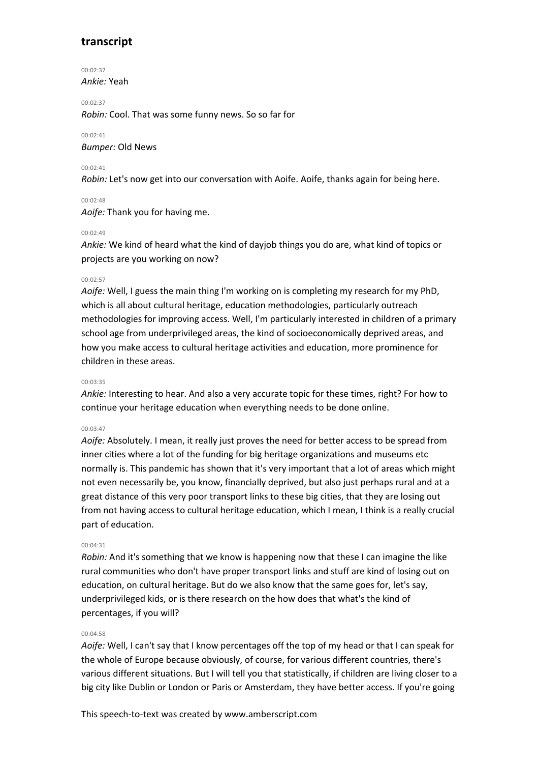00:02:37 *Ankie:* Yeah

00:02:37 *Robin:* Cool. That was some funny news. So so far for

00:02:41 *Bumper:* Old News

## 00:02:41

*Robin:* Let's now get into our conversation with Aoife. Aoife, thanks again for being here.

# 00:02:48

*Aoife:* Thank you for having me.

# 00:02:49

*Ankie:* We kind of heard what the kind of dayjob things you do are, what kind of topics or projects are you working on now?

# 00:02:57

*Aoife:* Well, I guess the main thing I'm working on is completing my research for my PhD, which is all about cultural heritage, education methodologies, particularly outreach methodologies for improving access. Well, I'm particularly interested in children of a primary school age from underprivileged areas, the kind of socioeconomically deprived areas, and how you make access to cultural heritage activities and education, more prominence for children in these areas.

# 00:03:35

*Ankie:* Interesting to hear. And also a very accurate topic for these times, right? For how to continue your heritage education when everything needs to be done online.

# 00:03:47

*Aoife:* Absolutely. I mean, it really just proves the need for better access to be spread from inner cities where a lot of the funding for big heritage organizations and museums etc normally is. This pandemic has shown that it's very important that a lot of areas which might not even necessarily be, you know, financially deprived, but also just perhaps rural and at a great distance of this very poor transport links to these big cities, that they are losing out from not having access to cultural heritage education, which I mean, I think is a really crucial part of education.

## 00:04:31

*Robin:* And it's something that we know is happening now that these I can imagine the like rural communities who don't have proper transport links and stuff are kind of losing out on education, on cultural heritage. But do we also know that the same goes for, let's say, underprivileged kids, or is there research on the how does that what's the kind of percentages, if you will?

## 00:04:58

*Aoife:* Well, I can't say that I know percentages off the top of my head or that I can speak for the whole of Europe because obviously, of course, for various different countries, there's various different situations. But I will tell you that statistically, if children are living closer to a big city like Dublin or London or Paris or Amsterdam, they have better access. If you're going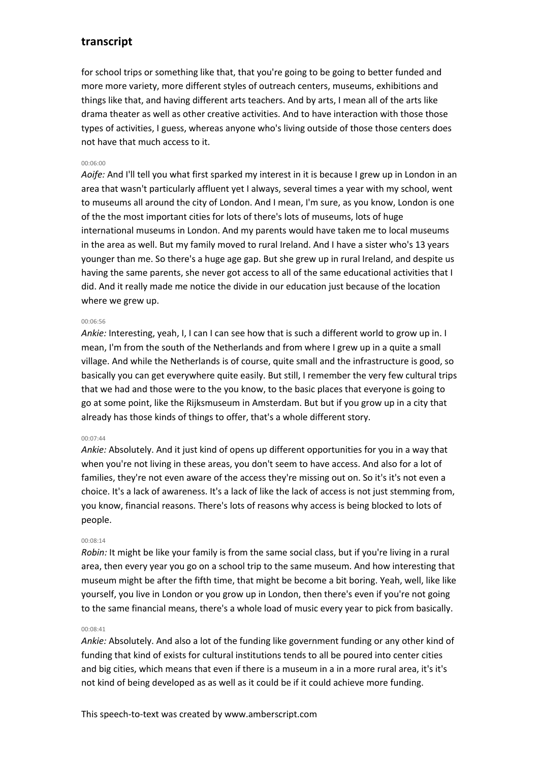for school trips or something like that, that you're going to be going to better funded and more more variety, more different styles of outreach centers, museums, exhibitions and things like that, and having different arts teachers. And by arts, I mean all of the arts like drama theater as well as other creative activities. And to have interaction with those those types of activities, I guess, whereas anyone who's living outside of those those centers does not have that much access to it.

### 00:06:00

*Aoife:* And I'll tell you what first sparked my interest in it is because I grew up in London in an area that wasn't particularly affluent yet I always, several times a year with my school, went to museums all around the city of London. And I mean, I'm sure, as you know, London is one of the the most important cities for lots of there's lots of museums, lots of huge international museums in London. And my parents would have taken me to local museums in the area as well. But my family moved to rural Ireland. And I have a sister who's 13 years younger than me. So there's a huge age gap. But she grew up in rural Ireland, and despite us having the same parents, she never got access to all of the same educational activities that I did. And it really made me notice the divide in our education just because of the location where we grew up.

#### 00:06:56

*Ankie:* Interesting, yeah, I, I can I can see how that is such a different world to grow up in. I mean, I'm from the south of the Netherlands and from where I grew up in a quite a small village. And while the Netherlands is of course, quite small and the infrastructure is good, so basically you can get everywhere quite easily. But still, I remember the very few cultural trips that we had and those were to the you know, to the basic places that everyone is going to go at some point, like the Rijksmuseum in Amsterdam. But but if you grow up in a city that already has those kinds of things to offer, that's a whole different story.

### 00:07:44

*Ankie:* Absolutely. And it just kind of opens up different opportunities for you in a way that when you're not living in these areas, you don't seem to have access. And also for a lot of families, they're not even aware of the access they're missing out on. So it's it's not even a choice. It's a lack of awareness. It's a lack of like the lack of access is not just stemming from, you know, financial reasons. There's lots of reasons why access is being blocked to lots of people.

# 00:08:14

*Robin:* It might be like your family is from the same social class, but if you're living in a rural area, then every year you go on a school trip to the same museum. And how interesting that museum might be after the fifth time, that might be become a bit boring. Yeah, well, like like yourself, you live in London or you grow up in London, then there's even if you're not going to the same financial means, there's a whole load of music every year to pick from basically.

## 00:08:41

*Ankie:* Absolutely. And also a lot of the funding like government funding or any other kind of funding that kind of exists for cultural institutions tends to all be poured into center cities and big cities, which means that even if there is a museum in a in a more rural area, it's it's not kind of being developed as as well as it could be if it could achieve more funding.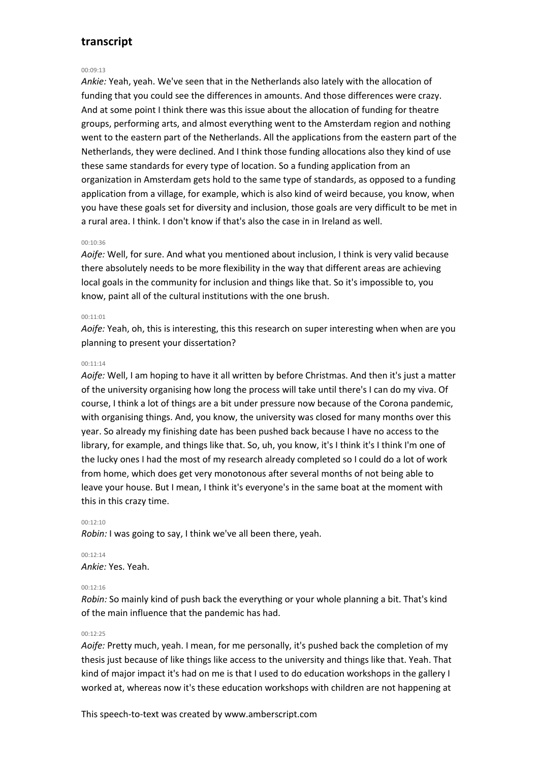# 00:09:13

*Ankie:* Yeah, yeah. We've seen that in the Netherlands also lately with the allocation of funding that you could see the differences in amounts. And those differences were crazy. And at some point I think there was this issue about the allocation of funding for theatre groups, performing arts, and almost everything went to the Amsterdam region and nothing went to the eastern part of the Netherlands. All the applications from the eastern part of the Netherlands, they were declined. And I think those funding allocations also they kind of use these same standards for every type of location. So a funding application from an organization in Amsterdam gets hold to the same type of standards, as opposed to a funding application from a village, for example, which is also kind of weird because, you know, when you have these goals set for diversity and inclusion, those goals are very difficult to be met in a rural area. I think. I don't know if that's also the case in in Ireland as well.

#### 00:10:36

*Aoife:* Well, for sure. And what you mentioned about inclusion, I think is very valid because there absolutely needs to be more flexibility in the way that different areas are achieving local goals in the community for inclusion and things like that. So it's impossible to, you know, paint all of the cultural institutions with the one brush.

# 00:11:01

*Aoife:* Yeah, oh, this is interesting, this this research on super interesting when when are you planning to present your dissertation?

## 00:11:14

*Aoife:* Well, I am hoping to have it all written by before Christmas. And then it's just a matter of the university organising how long the process will take until there's I can do my viva. Of course, I think a lot of things are a bit under pressure now because of the Corona pandemic, with organising things. And, you know, the university was closed for many months over this year. So already my finishing date has been pushed back because I have no access to the library, for example, and things like that. So, uh, you know, it's I think it's I think I'm one of the lucky ones I had the most of my research already completed so I could do a lot of work from home, which does get very monotonous after several months of not being able to leave your house. But I mean, I think it's everyone's in the same boat at the moment with this in this crazy time.

## 00:12:10

*Robin:* I was going to say, I think we've all been there, yeah.

#### $00.12.14$

*Ankie:* Yes. Yeah.

## 00:12:16

*Robin:* So mainly kind of push back the everything or your whole planning a bit. That's kind of the main influence that the pandemic has had.

# 00:12:25

*Aoife:* Pretty much, yeah. I mean, for me personally, it's pushed back the completion of my thesis just because of like things like access to the university and things like that. Yeah. That kind of major impact it's had on me is that I used to do education workshops in the gallery I worked at, whereas now it's these education workshops with children are not happening at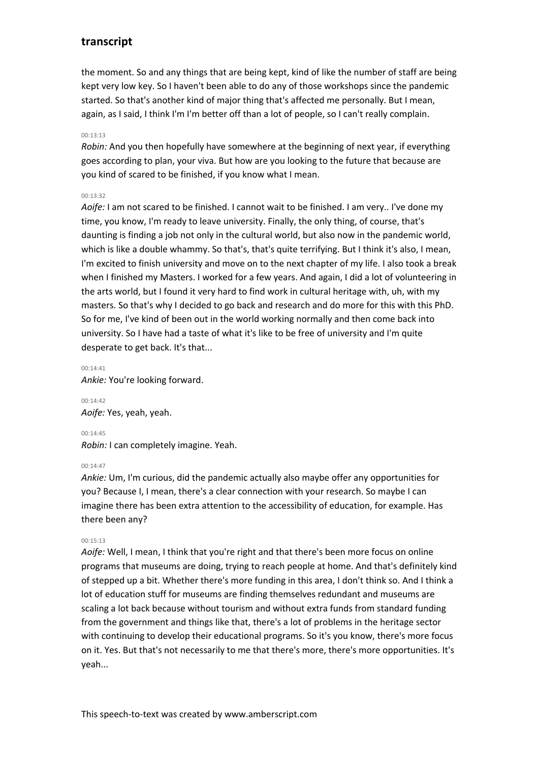the moment. So and any things that are being kept, kind of like the number of staff are being kept very low key. So I haven't been able to do any of those workshops since the pandemic started. So that's another kind of major thing that's affected me personally. But I mean, again, as I said, I think I'm I'm better off than a lot of people, so I can't really complain.

# 00:13:13

*Robin:* And you then hopefully have somewhere at the beginning of next year, if everything goes according to plan, your viva. But how are you looking to the future that because are you kind of scared to be finished, if you know what I mean.

# 00:13:32

*Aoife:* I am not scared to be finished. I cannot wait to be finished. I am very.. I've done my time, you know, I'm ready to leave university. Finally, the only thing, of course, that's daunting is finding a job not only in the cultural world, but also now in the pandemic world, which is like a double whammy. So that's, that's quite terrifying. But I think it's also, I mean, I'm excited to finish university and move on to the next chapter of my life. I also took a break when I finished my Masters. I worked for a few years. And again, I did a lot of volunteering in the arts world, but I found it very hard to find work in cultural heritage with, uh, with my masters. So that's why I decided to go back and research and do more for this with this PhD. So for me, I've kind of been out in the world working normally and then come back into university. So I have had a taste of what it's like to be free of university and I'm quite desperate to get back. It's that...

 $00.14.41$ *Ankie:* You're looking forward.

00:14:42 *Aoife:* Yes, yeah, yeah.

00:14:45 *Robin:* I can completely imagine. Yeah.

#### $00.14.47$

*Ankie:* Um, I'm curious, did the pandemic actually also maybe offer any opportunities for you? Because I, I mean, there's a clear connection with your research. So maybe I can imagine there has been extra attention to the accessibility of education, for example. Has there been any?

# $00.15.13$

*Aoife:* Well, I mean, I think that you're right and that there's been more focus on online programs that museums are doing, trying to reach people at home. And that's definitely kind of stepped up a bit. Whether there's more funding in this area, I don't think so. And I think a lot of education stuff for museums are finding themselves redundant and museums are scaling a lot back because without tourism and without extra funds from standard funding from the government and things like that, there's a lot of problems in the heritage sector with continuing to develop their educational programs. So it's you know, there's more focus on it. Yes. But that's not necessarily to me that there's more, there's more opportunities. It's yeah...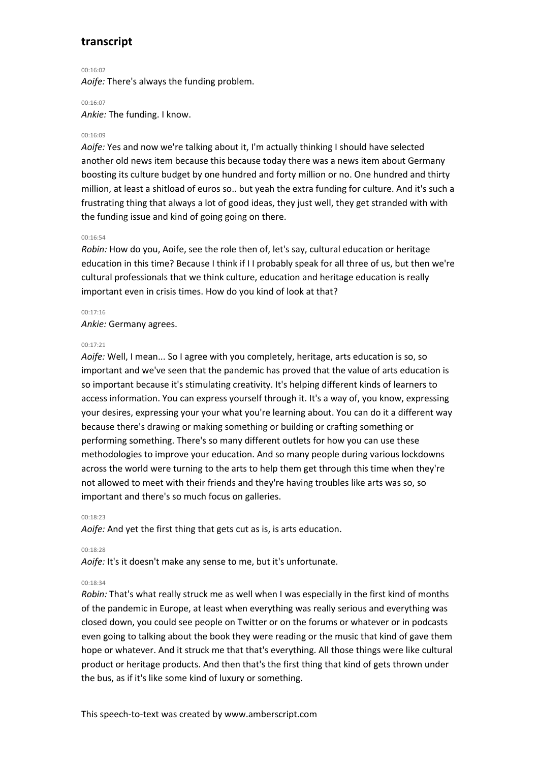$00.16:02$ 

*Aoife:* There's always the funding problem.

00:16:07

*Ankie:* The funding. I know.

# 00:16:09

*Aoife:* Yes and now we're talking about it, I'm actually thinking I should have selected another old news item because this because today there was a news item about Germany boosting its culture budget by one hundred and forty million or no. One hundred and thirty million, at least a shitload of euros so.. but yeah the extra funding for culture. And it's such a frustrating thing that always a lot of good ideas, they just well, they get stranded with with the funding issue and kind of going going on there.

# 00:16:54

*Robin:* How do you, Aoife, see the role then of, let's say, cultural education or heritage education in this time? Because I think if I I probably speak for all three of us, but then we're cultural professionals that we think culture, education and heritage education is really important even in crisis times. How do you kind of look at that?

## 00:17:16

*Ankie:* Germany agrees.

### 00:17:21

*Aoife:* Well, I mean... So I agree with you completely, heritage, arts education is so, so important and we've seen that the pandemic has proved that the value of arts education is so important because it's stimulating creativity. It's helping different kinds of learners to access information. You can express yourself through it. It's a way of, you know, expressing your desires, expressing your your what you're learning about. You can do it a different way because there's drawing or making something or building or crafting something or performing something. There's so many different outlets for how you can use these methodologies to improve your education. And so many people during various lockdowns across the world were turning to the arts to help them get through this time when they're not allowed to meet with their friends and they're having troubles like arts was so, so important and there's so much focus on galleries.

### $00.18.23$

*Aoife:* And yet the first thing that gets cut as is, is arts education.

00:18:28

*Aoife:* It's it doesn't make any sense to me, but it's unfortunate.

# 00:18:34

*Robin:* That's what really struck me as well when I was especially in the first kind of months of the pandemic in Europe, at least when everything was really serious and everything was closed down, you could see people on Twitter or on the forums or whatever or in podcasts even going to talking about the book they were reading or the music that kind of gave them hope or whatever. And it struck me that that's everything. All those things were like cultural product or heritage products. And then that's the first thing that kind of gets thrown under the bus, as if it's like some kind of luxury or something.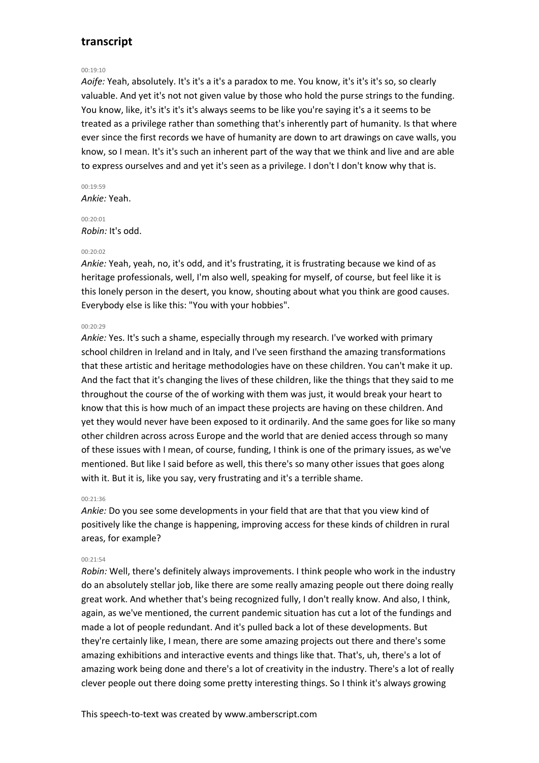# 00:19:10

*Aoife:* Yeah, absolutely. It's it's a it's a paradox to me. You know, it's it's it's so, so clearly valuable. And yet it's not not given value by those who hold the purse strings to the funding. You know, like, it's it's it's it's always seems to be like you're saying it's a it seems to be treated as a privilege rather than something that's inherently part of humanity. Is that where ever since the first records we have of humanity are down to art drawings on cave walls, you know, so I mean. It's it's such an inherent part of the way that we think and live and are able to express ourselves and and yet it's seen as a privilege. I don't I don't know why that is.

# 00:19:59

*Ankie:* Yeah.

00:20:01 *Robin:* It's odd.

#### 00:20:02

*Ankie:* Yeah, yeah, no, it's odd, and it's frustrating, it is frustrating because we kind of as heritage professionals, well, I'm also well, speaking for myself, of course, but feel like it is this lonely person in the desert, you know, shouting about what you think are good causes. Everybody else is like this: "You with your hobbies".

#### 00:20:29

*Ankie:* Yes. It's such a shame, especially through my research. I've worked with primary school children in Ireland and in Italy, and I've seen firsthand the amazing transformations that these artistic and heritage methodologies have on these children. You can't make it up. And the fact that it's changing the lives of these children, like the things that they said to me throughout the course of the of working with them was just, it would break your heart to know that this is how much of an impact these projects are having on these children. And yet they would never have been exposed to it ordinarily. And the same goes for like so many other children across across Europe and the world that are denied access through so many of these issues with I mean, of course, funding, I think is one of the primary issues, as we've mentioned. But like I said before as well, this there's so many other issues that goes along with it. But it is, like you say, very frustrating and it's a terrible shame.

#### 00:21:36

*Ankie:* Do you see some developments in your field that are that that you view kind of positively like the change is happening, improving access for these kinds of children in rural areas, for example?

#### 00:21:54

*Robin:* Well, there's definitely always improvements. I think people who work in the industry do an absolutely stellar job, like there are some really amazing people out there doing really great work. And whether that's being recognized fully, I don't really know. And also, I think, again, as we've mentioned, the current pandemic situation has cut a lot of the fundings and made a lot of people redundant. And it's pulled back a lot of these developments. But they're certainly like, I mean, there are some amazing projects out there and there's some amazing exhibitions and interactive events and things like that. That's, uh, there's a lot of amazing work being done and there's a lot of creativity in the industry. There's a lot of really clever people out there doing some pretty interesting things. So I think it's always growing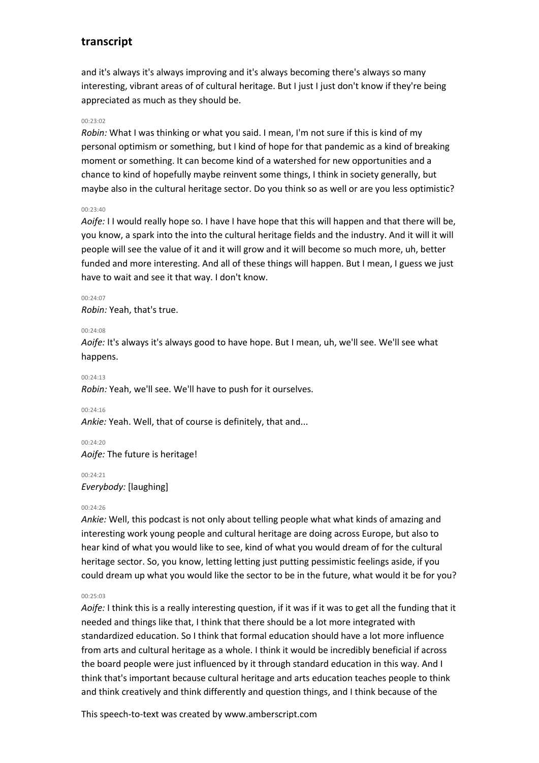and it's always it's always improving and it's always becoming there's always so many interesting, vibrant areas of of cultural heritage. But I just I just don't know if they're being appreciated as much as they should be.

#### 00:23:02

*Robin:* What I was thinking or what you said. I mean, I'm not sure if this is kind of my personal optimism or something, but I kind of hope for that pandemic as a kind of breaking moment or something. It can become kind of a watershed for new opportunities and a chance to kind of hopefully maybe reinvent some things, I think in society generally, but maybe also in the cultural heritage sector. Do you think so as well or are you less optimistic?

#### 00:23:40

*Aoife:* I I would really hope so. I have I have hope that this will happen and that there will be, you know, a spark into the into the cultural heritage fields and the industry. And it will it will people will see the value of it and it will grow and it will become so much more, uh, better funded and more interesting. And all of these things will happen. But I mean, I guess we just have to wait and see it that way. I don't know.

#### $00.24:07$

*Robin:* Yeah, that's true.

#### 00:24:08

*Aoife:* It's always it's always good to have hope. But I mean, uh, we'll see. We'll see what happens.

 $00.24.13$ 

*Robin:* Yeah, we'll see. We'll have to push for it ourselves.

00:24:16

*Ankie:* Yeah. Well, that of course is definitely, that and...

00:24:20 *Aoife:* The future is heritage!

00:24:21 *Everybody:* [laughing]

## $00.24.26$

*Ankie:* Well, this podcast is not only about telling people what what kinds of amazing and interesting work young people and cultural heritage are doing across Europe, but also to hear kind of what you would like to see, kind of what you would dream of for the cultural heritage sector. So, you know, letting letting just putting pessimistic feelings aside, if you could dream up what you would like the sector to be in the future, what would it be for you?

# 00:25:03

*Aoife:* I think this is a really interesting question, if it was if it was to get all the funding that it needed and things like that, I think that there should be a lot more integrated with standardized education. So I think that formal education should have a lot more influence from arts and cultural heritage as a whole. I think it would be incredibly beneficial if across the board people were just influenced by it through standard education in this way. And I think that's important because cultural heritage and arts education teaches people to think and think creatively and think differently and question things, and I think because of the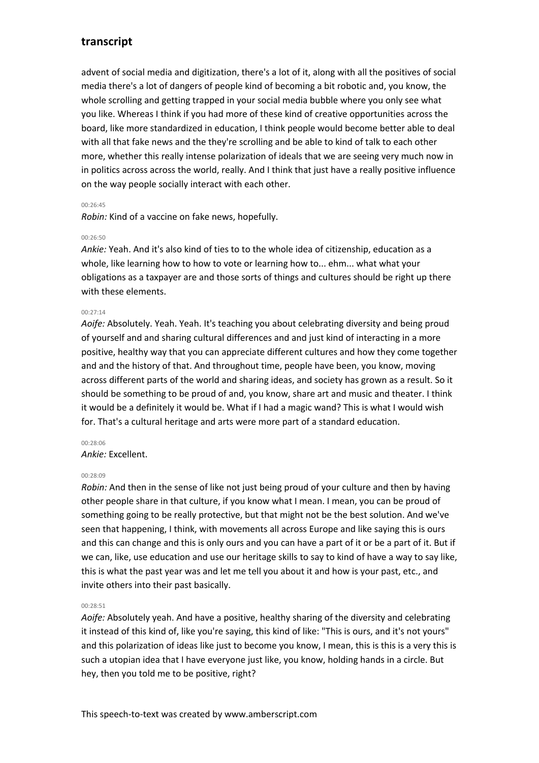advent of social media and digitization, there's a lot of it, along with all the positives of social media there's a lot of dangers of people kind of becoming a bit robotic and, you know, the whole scrolling and getting trapped in your social media bubble where you only see what you like. Whereas I think if you had more of these kind of creative opportunities across the board, like more standardized in education, I think people would become better able to deal with all that fake news and the they're scrolling and be able to kind of talk to each other more, whether this really intense polarization of ideals that we are seeing very much now in in politics across across the world, really. And I think that just have a really positive influence on the way people socially interact with each other.

# 00:26:45

*Robin:* Kind of a vaccine on fake news, hopefully.

# 00:26:50

*Ankie:* Yeah. And it's also kind of ties to to the whole idea of citizenship, education as a whole, like learning how to how to vote or learning how to... ehm... what what your obligations as a taxpayer are and those sorts of things and cultures should be right up there with these elements.

# $00.27.14$

*Aoife:* Absolutely. Yeah. Yeah. It's teaching you about celebrating diversity and being proud of yourself and and sharing cultural differences and and just kind of interacting in a more positive, healthy way that you can appreciate different cultures and how they come together and and the history of that. And throughout time, people have been, you know, moving across different parts of the world and sharing ideas, and society has grown as a result. So it should be something to be proud of and, you know, share art and music and theater. I think it would be a definitely it would be. What if I had a magic wand? This is what I would wish for. That's a cultural heritage and arts were more part of a standard education.

# 00:28:06

*Ankie:* Excellent.

## 00:28:09

*Robin:* And then in the sense of like not just being proud of your culture and then by having other people share in that culture, if you know what I mean. I mean, you can be proud of something going to be really protective, but that might not be the best solution. And we've seen that happening, I think, with movements all across Europe and like saying this is ours and this can change and this is only ours and you can have a part of it or be a part of it. But if we can, like, use education and use our heritage skills to say to kind of have a way to say like, this is what the past year was and let me tell you about it and how is your past, etc., and invite others into their past basically.

## $00.28.51$

*Aoife:* Absolutely yeah. And have a positive, healthy sharing of the diversity and celebrating it instead of this kind of, like you're saying, this kind of like: "This is ours, and it's not yours" and this polarization of ideas like just to become you know, I mean, this is this is a very this is such a utopian idea that I have everyone just like, you know, holding hands in a circle. But hey, then you told me to be positive, right?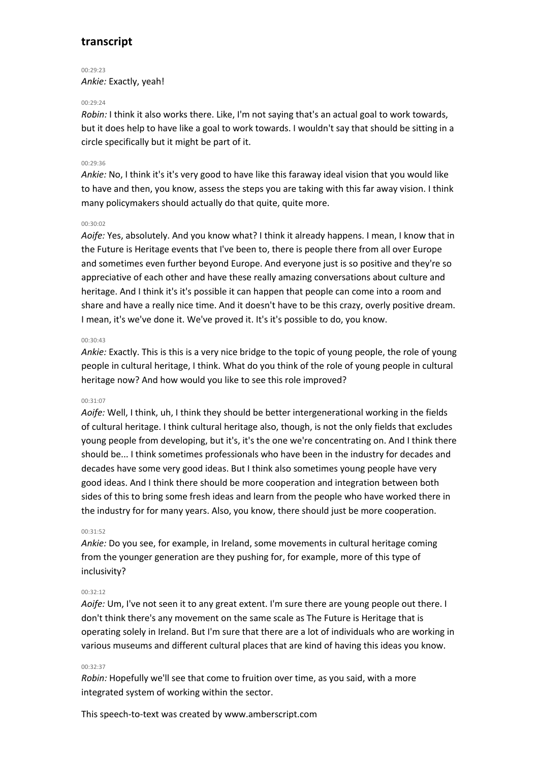$00.29.23$ *Ankie:* Exactly, yeah!

### $00.29.24$

*Robin:* I think it also works there. Like, I'm not saying that's an actual goal to work towards, but it does help to have like a goal to work towards. I wouldn't say that should be sitting in a circle specifically but it might be part of it.

### 00:29:36

*Ankie:* No, I think it's it's very good to have like this faraway ideal vision that you would like to have and then, you know, assess the steps you are taking with this far away vision. I think many policymakers should actually do that quite, quite more.

# 00:30:02

*Aoife:* Yes, absolutely. And you know what? I think it already happens. I mean, I know that in the Future is Heritage events that I've been to, there is people there from all over Europe and sometimes even further beyond Europe. And everyone just is so positive and they're so appreciative of each other and have these really amazing conversations about culture and heritage. And I think it's it's possible it can happen that people can come into a room and share and have a really nice time. And it doesn't have to be this crazy, overly positive dream. I mean, it's we've done it. We've proved it. It's it's possible to do, you know.

#### 00:30:43

*Ankie:* Exactly. This is this is a very nice bridge to the topic of young people, the role of young people in cultural heritage, I think. What do you think of the role of young people in cultural heritage now? And how would you like to see this role improved?

### 00:31:07

*Aoife:* Well, I think, uh, I think they should be better intergenerational working in the fields of cultural heritage. I think cultural heritage also, though, is not the only fields that excludes young people from developing, but it's, it's the one we're concentrating on. And I think there should be... I think sometimes professionals who have been in the industry for decades and decades have some very good ideas. But I think also sometimes young people have very good ideas. And I think there should be more cooperation and integration between both sides of this to bring some fresh ideas and learn from the people who have worked there in the industry for for many years. Also, you know, there should just be more cooperation.

### 00:31:52

*Ankie:* Do you see, for example, in Ireland, some movements in cultural heritage coming from the younger generation are they pushing for, for example, more of this type of inclusivity?

#### 00:32:12

*Aoife:* Um, I've not seen it to any great extent. I'm sure there are young people out there. I don't think there's any movement on the same scale as The Future is Heritage that is operating solely in Ireland. But I'm sure that there are a lot of individuals who are working in various museums and different cultural places that are kind of having this ideas you know.

## 00:32:37

*Robin:* Hopefully we'll see that come to fruition over time, as you said, with a more integrated system of working within the sector.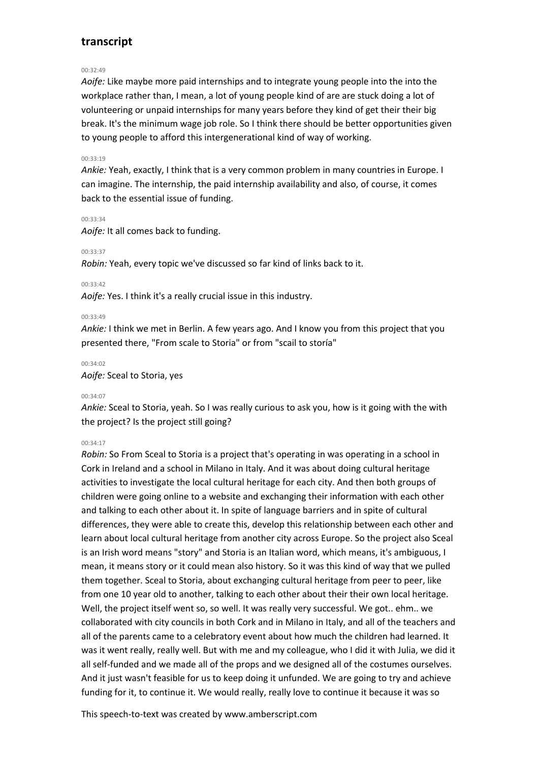# 00:32:49

*Aoife:* Like maybe more paid internships and to integrate young people into the into the workplace rather than, I mean, a lot of young people kind of are are stuck doing a lot of volunteering or unpaid internships for many years before they kind of get their their big break. It's the minimum wage job role. So I think there should be better opportunities given to young people to afford this intergenerational kind of way of working.

# 00:33:19

*Ankie:* Yeah, exactly, I think that is a very common problem in many countries in Europe. I can imagine. The internship, the paid internship availability and also, of course, it comes back to the essential issue of funding.

#### 00:33:34

*Aoife:* It all comes back to funding.

### 00:33:37

*Robin:* Yeah, every topic we've discussed so far kind of links back to it.

## 00:33:42

*Aoife:* Yes. I think it's a really crucial issue in this industry.

## 00:33:49

*Ankie:* I think we met in Berlin. A few years ago. And I know you from this project that you presented there, "From scale to Storia" or from "scail to storía"

#### 00:34:02

*Aoife:* Sceal to Storia, yes

## 00:34:07

*Ankie:* Sceal to Storia, yeah. So I was really curious to ask you, how is it going with the with the project? Is the project still going?

# 00:34:17

*Robin:* So From Sceal to Storia is a project that's operating in was operating in a school in Cork in Ireland and a school in Milano in Italy. And it was about doing cultural heritage activities to investigate the local cultural heritage for each city. And then both groups of children were going online to a website and exchanging their information with each other and talking to each other about it. In spite of language barriers and in spite of cultural differences, they were able to create this, develop this relationship between each other and learn about local cultural heritage from another city across Europe. So the project also Sceal is an Irish word means "story" and Storia is an Italian word, which means, it's ambiguous, I mean, it means story or it could mean also history. So it was this kind of way that we pulled them together. Sceal to Storia, about exchanging cultural heritage from peer to peer, like from one 10 year old to another, talking to each other about their their own local heritage. Well, the project itself went so, so well. It was really very successful. We got.. ehm.. we collaborated with city councils in both Cork and in Milano in Italy, and all of the teachers and all of the parents came to a celebratory event about how much the children had learned. It was it went really, really well. But with me and my colleague, who I did it with Julia, we did it all self-funded and we made all of the props and we designed all of the costumes ourselves. And it just wasn't feasible for us to keep doing it unfunded. We are going to try and achieve funding for it, to continue it. We would really, really love to continue it because it was so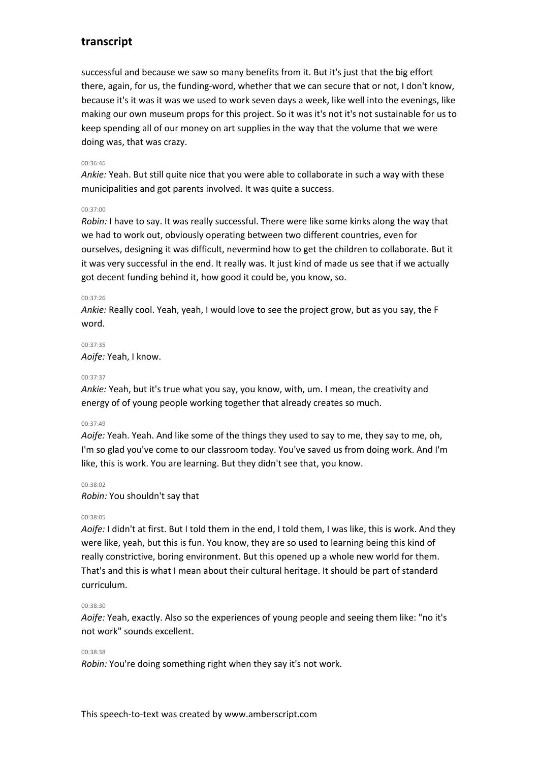successful and because we saw so many benefits from it. But it's just that the big effort there, again, for us, the funding-word, whether that we can secure that or not, I don't know, because it's it was it was we used to work seven days a week, like well into the evenings, like making our own museum props for this project. So it was it's not it's not sustainable for us to keep spending all of our money on art supplies in the way that the volume that we were doing was, that was crazy.

# 00:36:46

*Ankie:* Yeah. But still quite nice that you were able to collaborate in such a way with these municipalities and got parents involved. It was quite a success.

## 00:37:00

*Robin:* I have to say. It was really successful. There were like some kinks along the way that we had to work out, obviously operating between two different countries, even for ourselves, designing it was difficult, nevermind how to get the children to collaborate. But it it was very successful in the end. It really was. It just kind of made us see that if we actually got decent funding behind it, how good it could be, you know, so.

## 00:37:26

*Ankie:* Really cool. Yeah, yeah, I would love to see the project grow, but as you say, the F word.

#### 00:37:35

*Aoife:* Yeah, I know.

## 00:37:37

*Ankie:* Yeah, but it's true what you say, you know, with, um. I mean, the creativity and energy of of young people working together that already creates so much.

## 00:37:49

*Aoife:* Yeah. Yeah. And like some of the things they used to say to me, they say to me, oh, I'm so glad you've come to our classroom today. You've saved us from doing work. And I'm like, this is work. You are learning. But they didn't see that, you know.

#### 00:38:02

*Robin:* You shouldn't say that

## 00:38:05

*Aoife:* I didn't at first. But I told them in the end, I told them, I was like, this is work. And they were like, yeah, but this is fun. You know, they are so used to learning being this kind of really constrictive, boring environment. But this opened up a whole new world for them. That's and this is what I mean about their cultural heritage. It should be part of standard curriculum.

## 00:38:30

*Aoife:* Yeah, exactly. Also so the experiences of young people and seeing them like: "no it's not work" sounds excellent.

## 00:38:38

*Robin:* You're doing something right when they say it's not work.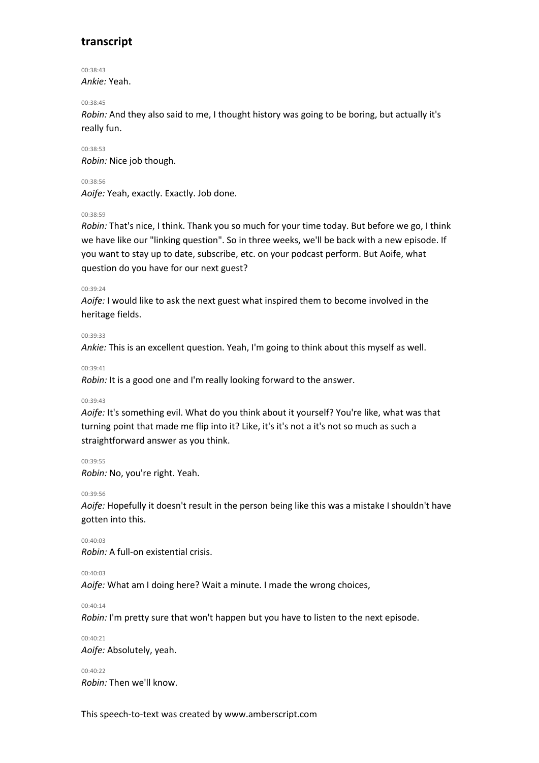00:38:43 *Ankie:* Yeah.

00:38:45

*Robin:* And they also said to me, I thought history was going to be boring, but actually it's really fun.

00:38:53 *Robin:* Nice job though.

00:38:56

*Aoife:* Yeah, exactly. Exactly. Job done.

00:38:59

*Robin:* That's nice, I think. Thank you so much for your time today. But before we go, I think we have like our "linking question". So in three weeks, we'll be back with a new episode. If you want to stay up to date, subscribe, etc. on your podcast perform. But Aoife, what question do you have for our next guest?

00:39:24

*Aoife:* I would like to ask the next guest what inspired them to become involved in the heritage fields.

00:39:33

*Ankie:* This is an excellent question. Yeah, I'm going to think about this myself as well.

00:39:41

*Robin:* It is a good one and I'm really looking forward to the answer.

00:39:43

*Aoife:* It's something evil. What do you think about it yourself? You're like, what was that turning point that made me flip into it? Like, it's it's not a it's not so much as such a straightforward answer as you think.

00:39:55 *Robin:* No, you're right. Yeah.

00:39:56

*Aoife:* Hopefully it doesn't result in the person being like this was a mistake I shouldn't have gotten into this.

00:40:03 *Robin:* A full-on existential crisis.

00:40:03

*Aoife:* What am I doing here? Wait a minute. I made the wrong choices,

00:40:14

*Robin:* I'm pretty sure that won't happen but you have to listen to the next episode.

00:40:21 *Aoife:* Absolutely, yeah.

 $00.40.22$ *Robin:* Then we'll know.